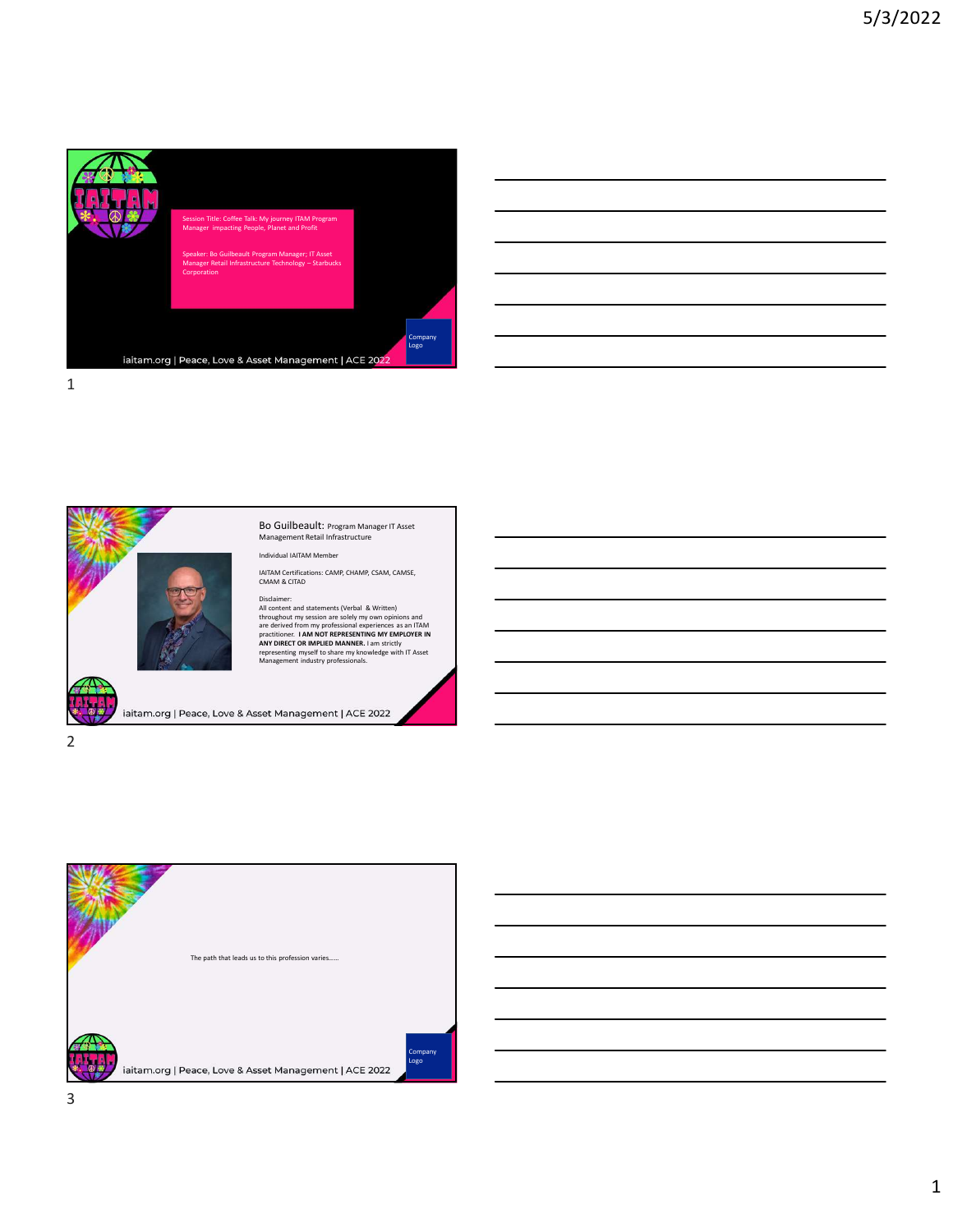







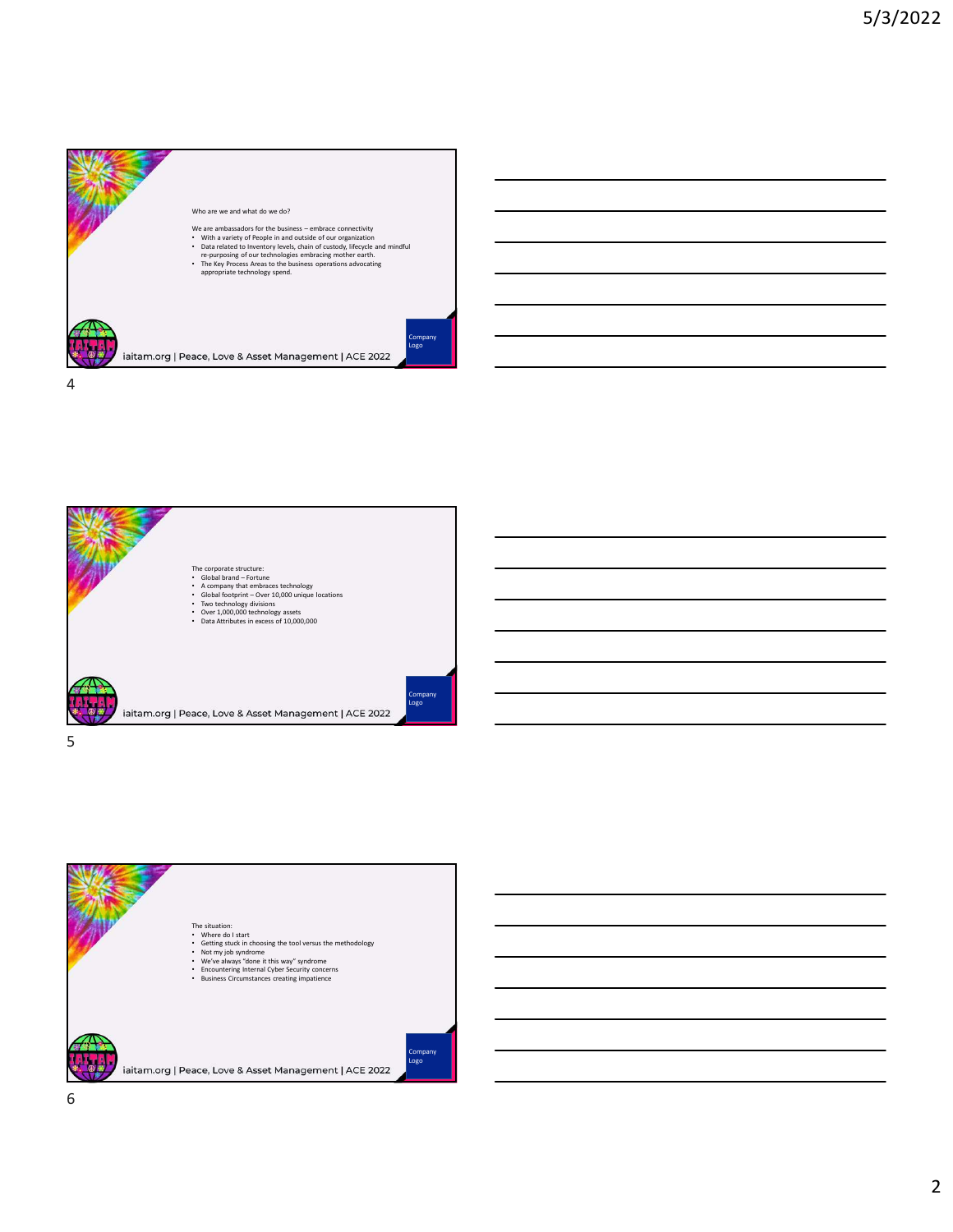







6